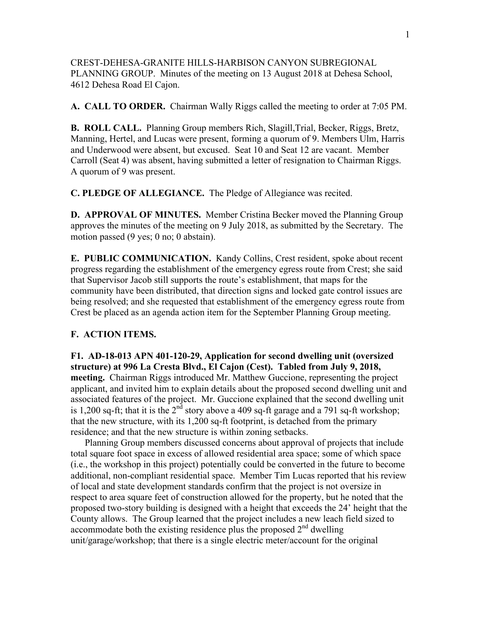CREST-DEHESA-GRANITE HILLS-HARBISON CANYON SUBREGIONAL PLANNING GROUP. Minutes of the meeting on 13 August 2018 at Dehesa School, 4612 Dehesa Road El Cajon.

**A. CALL TO ORDER.** Chairman Wally Riggs called the meeting to order at 7:05 PM.

**B. ROLL CALL.** Planning Group members Rich, Slagill,Trial, Becker, Riggs, Bretz, Manning, Hertel, and Lucas were present, forming a quorum of 9. Members Ulm, Harris and Underwood were absent, but excused. Seat 10 and Seat 12 are vacant. Member Carroll (Seat 4) was absent, having submitted a letter of resignation to Chairman Riggs. A quorum of 9 was present.

**C. PLEDGE OF ALLEGIANCE.** The Pledge of Allegiance was recited.

**D. APPROVAL OF MINUTES.** Member Cristina Becker moved the Planning Group approves the minutes of the meeting on 9 July 2018, as submitted by the Secretary. The motion passed (9 yes; 0 no; 0 abstain).

**E. PUBLIC COMMUNICATION.** Kandy Collins, Crest resident, spoke about recent progress regarding the establishment of the emergency egress route from Crest; she said that Supervisor Jacob still supports the route's establishment, that maps for the community have been distributed, that direction signs and locked gate control issues are being resolved; and she requested that establishment of the emergency egress route from Crest be placed as an agenda action item for the September Planning Group meeting.

## **F. ACTION ITEMS.**

**F1. AD-18-013 APN 401-120-29, Application for second dwelling unit (oversized structure) at 996 La Cresta Blvd., El Cajon (Cest). Tabled from July 9, 2018, meeting.** Chairman Riggs introduced Mr. Matthew Guccione, representing the project applicant, and invited him to explain details about the proposed second dwelling unit and associated features of the project. Mr. Guccione explained that the second dwelling unit is 1,200 sq-ft; that it is the  $2<sup>nd</sup>$  story above a 409 sq-ft garage and a 791 sq-ft workshop; that the new structure, with its 1,200 sq-ft footprint, is detached from the primary residence; and that the new structure is within zoning setbacks.

 Planning Group members discussed concerns about approval of projects that include total square foot space in excess of allowed residential area space; some of which space (i.e., the workshop in this project) potentially could be converted in the future to become additional, non-compliant residential space. Member Tim Lucas reported that his review of local and state development standards confirm that the project is not oversize in respect to area square feet of construction allowed for the property, but he noted that the proposed two-story building is designed with a height that exceeds the 24' height that the County allows. The Group learned that the project includes a new leach field sized to accommodate both the existing residence plus the proposed  $2<sup>nd</sup>$  dwelling unit/garage/workshop; that there is a single electric meter/account for the original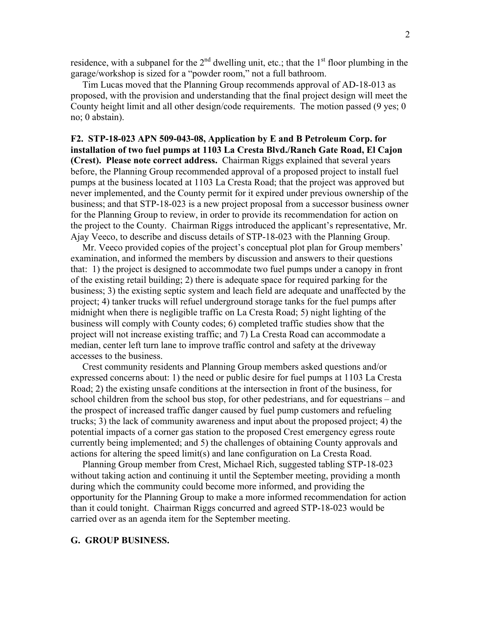residence, with a subpanel for the  $2<sup>nd</sup>$  dwelling unit, etc.; that the  $1<sup>st</sup>$  floor plumbing in the garage/workshop is sized for a "powder room," not a full bathroom.

 Tim Lucas moved that the Planning Group recommends approval of AD-18-013 as proposed, with the provision and understanding that the final project design will meet the County height limit and all other design/code requirements. The motion passed (9 yes; 0 no; 0 abstain).

## **F2. STP-18-023 APN 509-043-08, Application by E and B Petroleum Corp. for installation of two fuel pumps at 1103 La Cresta Blvd./Ranch Gate Road, El Cajon (Crest). Please note correct address.** Chairman Riggs explained that several years before, the Planning Group recommended approval of a proposed project to install fuel pumps at the business located at 1103 La Cresta Road; that the project was approved but never implemented, and the County permit for it expired under previous ownership of the business; and that STP-18-023 is a new project proposal from a successor business owner for the Planning Group to review, in order to provide its recommendation for action on the project to the County. Chairman Riggs introduced the applicant's representative, Mr. Ajay Veeco, to describe and discuss details of STP-18-023 with the Planning Group.

 Mr. Veeco provided copies of the project's conceptual plot plan for Group members' examination, and informed the members by discussion and answers to their questions that: 1) the project is designed to accommodate two fuel pumps under a canopy in front of the existing retail building; 2) there is adequate space for required parking for the business; 3) the existing septic system and leach field are adequate and unaffected by the project; 4) tanker trucks will refuel underground storage tanks for the fuel pumps after midnight when there is negligible traffic on La Cresta Road; 5) night lighting of the business will comply with County codes; 6) completed traffic studies show that the project will not increase existing traffic; and 7) La Cresta Road can accommodate a median, center left turn lane to improve traffic control and safety at the driveway accesses to the business.

 Crest community residents and Planning Group members asked questions and/or expressed concerns about: 1) the need or public desire for fuel pumps at 1103 La Cresta Road; 2) the existing unsafe conditions at the intersection in front of the business, for school children from the school bus stop, for other pedestrians, and for equestrians – and the prospect of increased traffic danger caused by fuel pump customers and refueling trucks; 3) the lack of community awareness and input about the proposed project; 4) the potential impacts of a corner gas station to the proposed Crest emergency egress route currently being implemented; and 5) the challenges of obtaining County approvals and actions for altering the speed limit(s) and lane configuration on La Cresta Road.

 Planning Group member from Crest, Michael Rich, suggested tabling STP-18-023 without taking action and continuing it until the September meeting, providing a month during which the community could become more informed, and providing the opportunity for the Planning Group to make a more informed recommendation for action than it could tonight. Chairman Riggs concurred and agreed STP-18-023 would be carried over as an agenda item for the September meeting.

## **G. GROUP BUSINESS.**